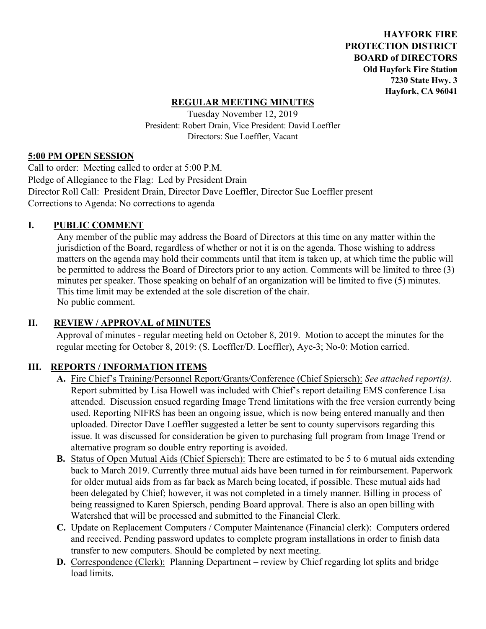**HAYFORK FIRE PROTECTION DISTRICT BOARD of DIRECTORS Old Hayfork Fire Station 7230 State Hwy. 3 Hayfork, CA 96041** 

### **REGULAR MEETING MINUTES**

Tuesday November 12, 2019 President: Robert Drain, Vice President: David Loeffler Directors: Sue Loeffler, Vacant

#### **5:00 PM OPEN SESSION**

Call to order: Meeting called to order at 5:00 P.M. Pledge of Allegiance to the Flag: Led by President Drain Director Roll Call: President Drain, Director Dave Loeffler, Director Sue Loeffler present Corrections to Agenda: No corrections to agenda

#### **I. PUBLIC COMMENT**

Any member of the public may address the Board of Directors at this time on any matter within the jurisdiction of the Board, regardless of whether or not it is on the agenda. Those wishing to address matters on the agenda may hold their comments until that item is taken up, at which time the public will be permitted to address the Board of Directors prior to any action. Comments will be limited to three (3) minutes per speaker. Those speaking on behalf of an organization will be limited to five (5) minutes. This time limit may be extended at the sole discretion of the chair. No public comment.

### **II. REVIEW / APPROVAL of MINUTES**

 Approval of minutes - regular meeting held on October 8, 2019. Motion to accept the minutes for the regular meeting for October 8, 2019: (S. Loeffler/D. Loeffler), Aye-3; No-0: Motion carried.

### **III. REPORTS / INFORMATION ITEMS**

- **A.** Fire Chief's Training/Personnel Report/Grants/Conference (Chief Spiersch): *See attached report(s)*. Report submitted by Lisa Howell was included with Chief's report detailing EMS conference Lisa attended. Discussion ensued regarding Image Trend limitations with the free version currently being used. Reporting NIFRS has been an ongoing issue, which is now being entered manually and then uploaded. Director Dave Loeffler suggested a letter be sent to county supervisors regarding this issue. It was discussed for consideration be given to purchasing full program from Image Trend or alternative program so double entry reporting is avoided.
- **B.** Status of Open Mutual Aids (Chief Spiersch): There are estimated to be 5 to 6 mutual aids extending back to March 2019. Currently three mutual aids have been turned in for reimbursement. Paperwork for older mutual aids from as far back as March being located, if possible. These mutual aids had been delegated by Chief; however, it was not completed in a timely manner. Billing in process of being reassigned to Karen Spiersch, pending Board approval. There is also an open billing with Watershed that will be processed and submitted to the Financial Clerk.
- **C.** Update on Replacement Computers / Computer Maintenance (Financial clerk): Computers ordered and received. Pending password updates to complete program installations in order to finish data transfer to new computers. Should be completed by next meeting.
- **D.** Correspondence (Clerk): Planning Department review by Chief regarding lot splits and bridge load limits.